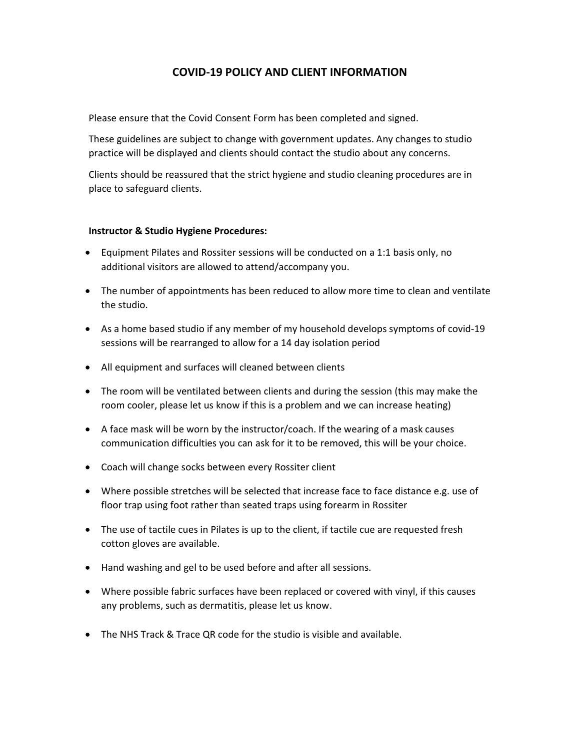# COVID-19 POLICY AND CLIENT INFORMATION

Please ensure that the Covid Consent Form has been completed and signed.

These guidelines are subject to change with government updates. Any changes to studio practice will be displayed and clients should contact the studio about any concerns.

Clients should be reassured that the strict hygiene and studio cleaning procedures are in place to safeguard clients.

#### Instructor & Studio Hygiene Procedures:

- Equipment Pilates and Rossiter sessions will be conducted on a 1:1 basis only, no additional visitors are allowed to attend/accompany you.
- The number of appointments has been reduced to allow more time to clean and ventilate the studio.
- As a home based studio if any member of my household develops symptoms of covid-19 sessions will be rearranged to allow for a 14 day isolation period
- All equipment and surfaces will cleaned between clients
- The room will be ventilated between clients and during the session (this may make the room cooler, please let us know if this is a problem and we can increase heating)
- A face mask will be worn by the instructor/coach. If the wearing of a mask causes communication difficulties you can ask for it to be removed, this will be your choice.
- Coach will change socks between every Rossiter client
- Where possible stretches will be selected that increase face to face distance e.g. use of floor trap using foot rather than seated traps using forearm in Rossiter
- The use of tactile cues in Pilates is up to the client, if tactile cue are requested fresh cotton gloves are available.
- Hand washing and gel to be used before and after all sessions.
- Where possible fabric surfaces have been replaced or covered with vinyl, if this causes any problems, such as dermatitis, please let us know.
- The NHS Track & Trace QR code for the studio is visible and available.